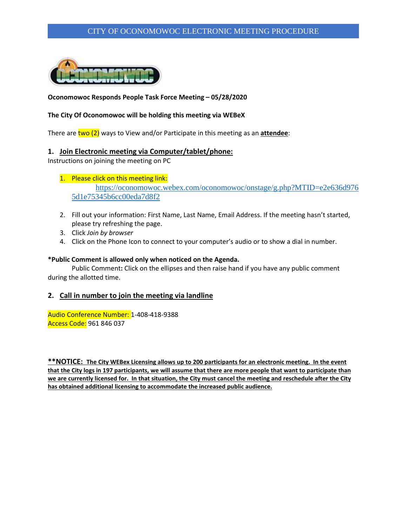# CITY OF OCONOMOWOC ELECTRONIC MEETING PROCEDURE



### **Oconomowoc Responds People Task Force Meeting – 05/28/2020**

#### **The City Of Oconomowoc will be holding this meeting via WEBeX**

There are **two (2)** ways to View and/or Participate in this meeting as an **attendee**:

### **1. Join Electronic meeting via Computer/tablet/phone:**

Instructions on joining the meeting on PC

## 1. Please click on this meeting link: [https://oconomowoc.webex.com/oconomowoc/onstage/g.php?MTID=e2e636d976](https://oconomowoc.webex.com/oconomowoc/onstage/g.php?MTID=e2e636d9765d1e75345b6cc00eda7d8f2) [5d1e75345b6cc00eda7d8f2](https://oconomowoc.webex.com/oconomowoc/onstage/g.php?MTID=e2e636d9765d1e75345b6cc00eda7d8f2)

- 2. Fill out your information: First Name, Last Name, Email Address. If the meeting hasn't started, please try refreshing the page.
- 3. Click *Join by browser*
- 4. Click on the Phone Icon to connect to your computer's audio or to show a dial in number.

#### **\*Public Comment is allowed only when noticed on the Agenda.**

Public Comment**:** Click on the ellipses and then raise hand if you have any public comment during the allotted time.

#### **2. Call in number to join the meeting via landline**

Audio Conference Number: 1-408-418-9388 Access Code: 961 846 037

**\*\*NOTICE: The City WEBex Licensing allows up to 200 participants for an electronic meeting. In the event that the City logs in 197 participants, we will assume that there are more people that want to participate than we are currently licensed for. In that situation, the City must cancel the meeting and reschedule after the City has obtained additional licensing to accommodate the increased public audience.**